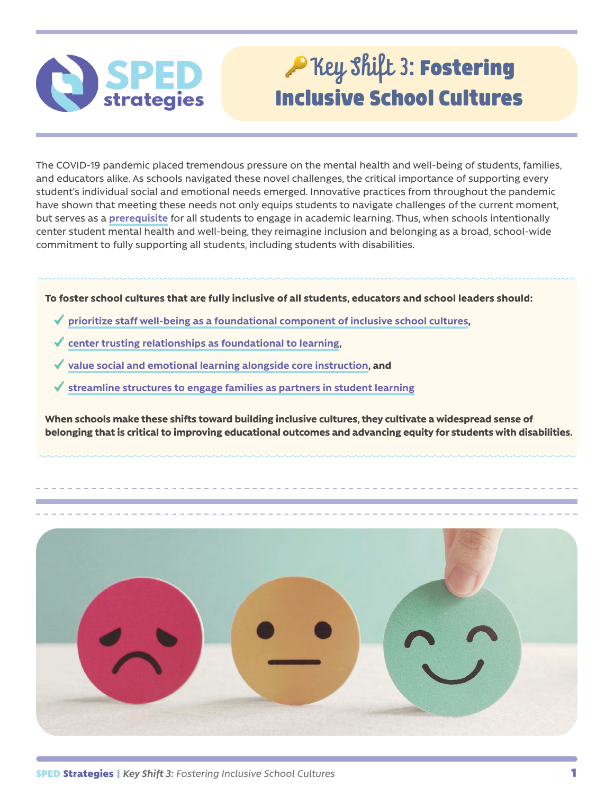

# Rey Shift 3: Fostering Inclusive School Cultures

The COVID-19 pandemic placed tremendous pressure on the mental health and well-being of students, families, and educators alike. As schools navigated these novel challenges, the critical importance of supporting every student's individual social and emotional needs emerged. Innovative practices from throughout the pandemic have shown that meeting these needs not only equips students to navigate challenges of the current moment, but serves as a **[prerequisite](https://www.teachingchannel.com/blog/culturally-responsive-teaching-brain)** for all students to engage in academic learning. Thus, when schools intentionally center student mental health and well-being, they reimagine inclusion and belonging as a broad, school-wide commitment to fully supporting all students, including students with disabilities.

### **To foster school cultures that are fully inclusive of all students, educators and school leaders should:**

- **[prioritize staff well-being as a foundational component of inclusive school cultures](#page-1-0),**
- **[center trusting relationships as foundational to learning](#page-2-0),**
- **[value social and emotional learning alongside core instruction](#page-3-0), and**
- **[streamline structures to engage families as partners in student learning](#page-4-0)**

**When schools make these shifts toward building inclusive cultures, they cultivate a widespread sense of belonging that is critical to improving educational outcomes and advancing equity for students with disabilities.**

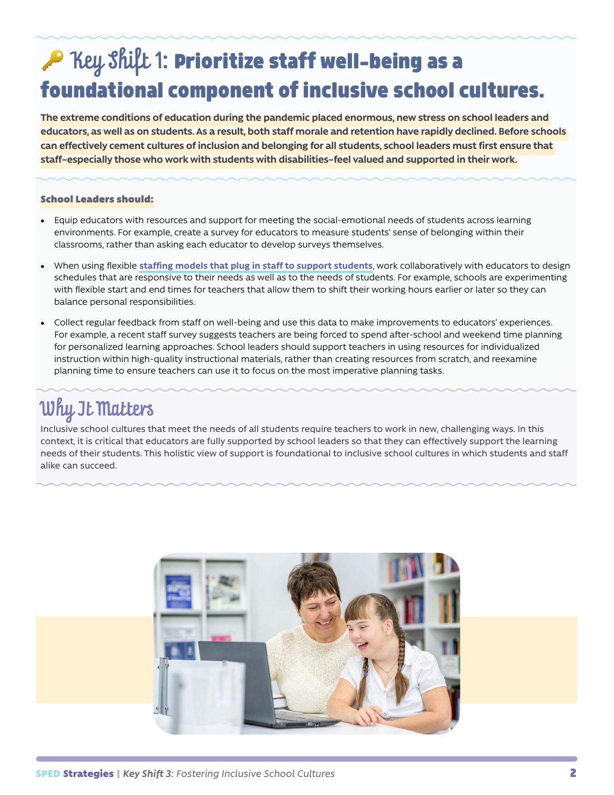# <span id="page-1-0"></span>A Key Shift 1: Prioritize staff well-being as a foundational component of inclusive school cultures.

**The extreme conditions of education during the pandemic placed enormous, new stress on school leaders and educators, as well as on students. As a result, both staff morale and retention have rapidly declined. Before schools can effectively cement cultures of inclusion and belonging for all students, school leaders must first ensure that staff–especially those who work with students with disabilities–feel valued and supported in their work.** 

### School Leaders should:

- Equip educators with resources and support for meeting the social-emotional needs of students across learning environments. For example, create a survey for educators to measure students' sense of belonging within their classrooms, rather than asking each educator to develop surveys themselves.
- When using flexible **[staffing models that plug in staff to support students](https://www.edweek.org/leadership/how-schools-can-redeploy-teachers-in-creative-ways-during-covid-19/2020/08)**, work collaboratively with educators to design schedules that are responsive to their needs as well as to the needs of students. For example, schools are experimenting with flexible start and end times for teachers that allow them to shift their working hours earlier or later so they can balance personal responsibilities.
- Collect regular feedback from staff on well-being and use this data to make improvements to educators' experiences. For example, a recent staff survey suggests teachers are being forced to spend after-school and weekend time planning for personalized learning approaches. School leaders should support teachers in using resources for individualized instruction within high-quality instructional materials, rather than creating resources from scratch, and reexamine planning time to ensure teachers can use it to focus on the most imperative planning tasks.

### Why It Matters

Inclusive school cultures that meet the needs of all students require teachers to work in new, challenging ways. In this context, it is critical that educators are fully supported by school leaders so that they can effectively support the learning needs of their students. This holistic view of support is foundational to inclusive school cultures in which students and staff alike can succeed.

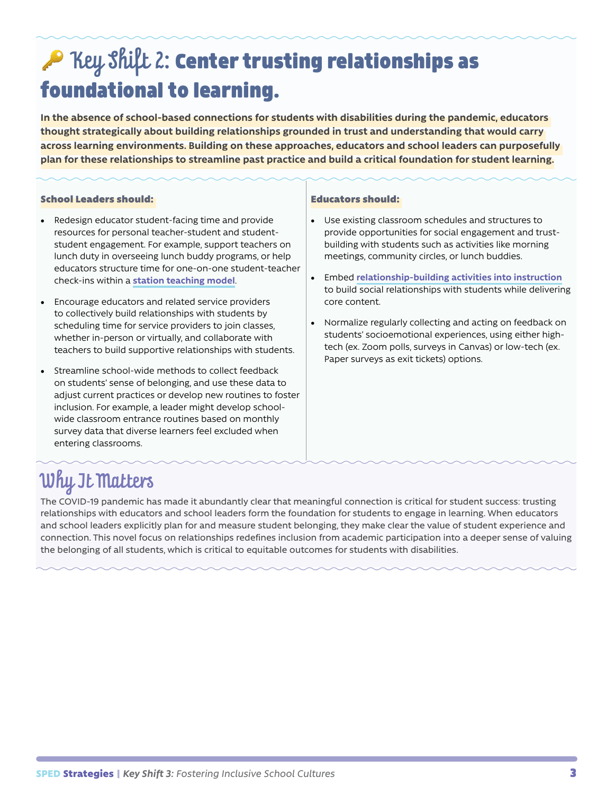## Rey Shift 2: Center trusting relationships as foundational to learning.

**In the absence of school-based connections for students with disabilities during the pandemic, educators thought strategically about building relationships grounded in trust and understanding that would carry across learning environments. Building on these approaches, educators and school leaders can purposefully plan for these relationships to streamline past practice and build a critical foundation for student learning.**

### School Leaders should:

- Redesign educator student-facing time and provide resources for personal teacher-student and studentstudent engagement. For example, support teachers on lunch duty in overseeing lunch buddy programs, or help educators structure time for one-on-one student-teacher check-ins within a **[station teaching model](https://edu240coteaching.wordpress.com/what-does-co-teaching-look-like/)**.
- Encourage educators and related service providers to collectively build relationships with students by scheduling time for service providers to join classes, whether in-person or virtually, and collaborate with teachers to build supportive relationships with students.
- Streamline school-wide methods to collect feedback on students' sense of belonging, and use these data to adjust current practices or develop new routines to foster inclusion. For example, a leader might develop schoolwide classroom entrance routines based on monthly survey data that diverse learners feel excluded when entering classrooms.

#### <span id="page-2-0"></span>Educators should:

- Use existing classroom schedules and structures to provide opportunities for social engagement and trustbuilding with students such as activities like morning meetings, community circles, or lunch buddies.
- Embed **[relationship-building activities into instruction](https://www.edutopia.org/article/simple-relationship-building-strategies)** to build social relationships with students while delivering core content.
- Normalize regularly collecting and acting on feedback on students' socioemotional experiences, using either hightech (ex. Zoom polls, surveys in Canvas) or low-tech (ex. Paper surveys as exit tickets) options.

### Why It Matters

The COVID-19 pandemic has made it abundantly clear that meaningful connection is critical for student success: trusting relationships with educators and school leaders form the foundation for students to engage in learning. When educators and school leaders explicitly plan for and measure student belonging, they make clear the value of student experience and connection. This novel focus on relationships redefines inclusion from academic participation into a deeper sense of valuing the belonging of all students, which is critical to equitable outcomes for students with disabilities.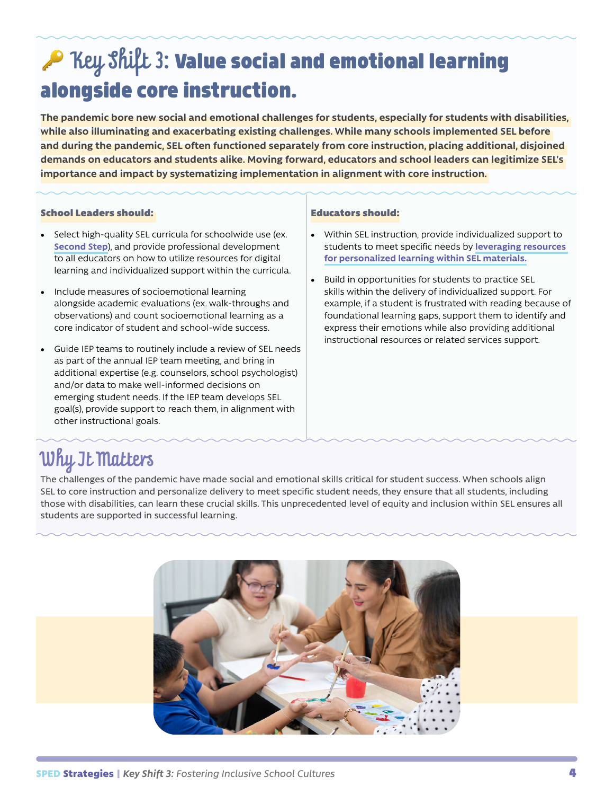## AP Key Shift 3: Value social and emotional learning alongside core instruction.

**The pandemic bore new social and emotional challenges for students, especially for students with disabilities, while also illuminating and exacerbating existing challenges. While many schools implemented SEL before and during the pandemic, SEL often functioned separately from core instruction, placing additional, disjoined demands on educators and students alike. Moving forward, educators and school leaders can legitimize SEL's importance and impact by systematizing implementation in alignment with core instruction.** 

#### School Leaders should:

- Select high-quality SEL curricula for schoolwide use (ex. **[Second Step](https://www.secondstep.org/)**), and provide professional development to all educators on how to utilize resources for digital learning and individualized support within the curricula.
- Include measures of socioemotional learning alongside academic evaluations (ex. walk-throughs and observations) and count socioemotional learning as a core indicator of student and school-wide success.
- Guide IEP teams to routinely include a review of SEL needs as part of the annual IEP team meeting, and bring in additional expertise (e.g. counselors, school psychologist) and/or data to make well-informed decisions on emerging student needs. If the IEP team develops SEL goal(s), provide support to reach them, in alignment with other instructional goals.

#### <span id="page-3-0"></span>Educators should:

- Within SEL instruction, provide individualized support to students to meet specific needs by **[leveraging resources](https://www.commonsense.org/education/articles/personalized-learning-and-sel-why-meeting-students-where-they-are-matters)  [for personalized learning within SEL materials.](https://www.commonsense.org/education/articles/personalized-learning-and-sel-why-meeting-students-where-they-are-matters)**
- Build in opportunities for students to practice SEL skills within the delivery of individualized support. For example, if a student is frustrated with reading because of foundational learning gaps, support them to identify and express their emotions while also providing additional instructional resources or related services support.

### Why It Matters

The challenges of the pandemic have made social and emotional skills critical for student success. When schools align SEL to core instruction and personalize delivery to meet specific student needs, they ensure that all students, including those with disabilities, can learn these crucial skills. This unprecedented level of equity and inclusion within SEL ensures all students are supported in successful learning.